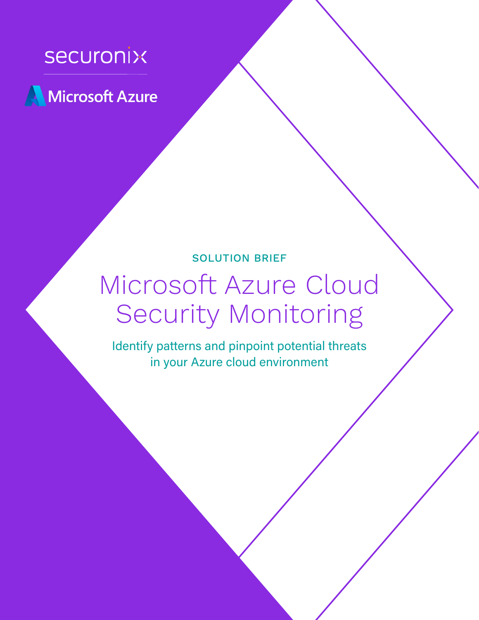

Microsoft Azure

# SOLUTION BRIEF

# Microsoft Azure Cloud Security Monitoring

Identify patterns and pinpoint potential threats in your Azure cloud environment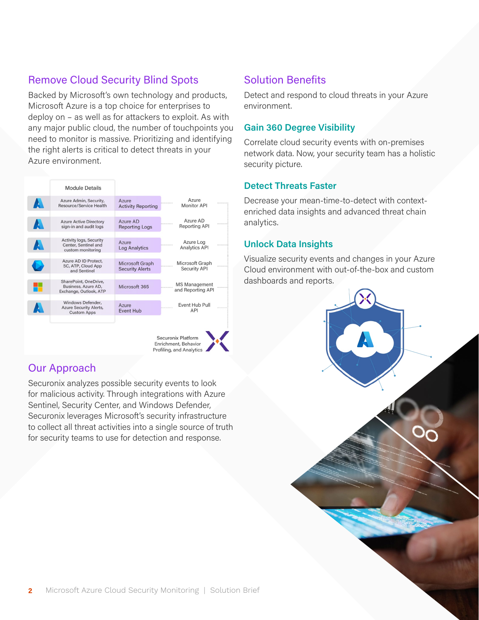# Remove Cloud Security Blind Spots

Backed by Microsoft's own technology and products, Microsoft Azure is a top choice for enterprises to deploy on – as well as for attackers to exploit. As with any major public cloud, the number of touchpoints you need to monitor is massive. Prioritizing and identifying the right alerts is critical to detect threats in your Azure environment.



# Our Approach

Securonix analyzes possible security events to look for malicious activity. Through integrations with Azure Sentinel, Security Center, and Windows Defender, Securonix leverages Microsoft's security infrastructure to collect all threat activities into a single source of truth for security teams to use for detection and response.

# Solution Benefits

Detect and respond to cloud threats in your Azure environment.

### **Gain 360 Degree Visibility**

Correlate cloud security events with on-premises network data. Now, your security team has a holistic security picture.

#### **Detect Threats Faster**

Decrease your mean-time-to-detect with contextenriched data insights and advanced threat chain analytics.

### **Unlock Data Insights**

Visualize security events and changes in your Azure Cloud environment with out-of-the-box and custom dashboards and reports.